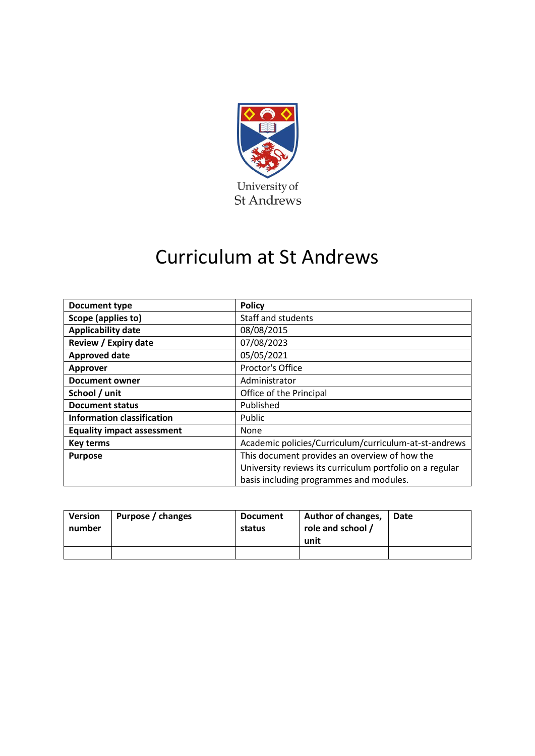

## Curriculum at St Andrews

| <b>Document type</b>              | <b>Policy</b>                                            |  |  |  |
|-----------------------------------|----------------------------------------------------------|--|--|--|
| Scope (applies to)                | <b>Staff and students</b>                                |  |  |  |
| <b>Applicability date</b>         | 08/08/2015                                               |  |  |  |
| Review / Expiry date              | 07/08/2023                                               |  |  |  |
| <b>Approved date</b>              | 05/05/2021                                               |  |  |  |
| <b>Approver</b>                   | Proctor's Office                                         |  |  |  |
| <b>Document owner</b>             | Administrator                                            |  |  |  |
| School / unit                     | Office of the Principal                                  |  |  |  |
| <b>Document status</b>            | Published                                                |  |  |  |
| <b>Information classification</b> | Public                                                   |  |  |  |
| <b>Equality impact assessment</b> | None                                                     |  |  |  |
| <b>Key terms</b>                  | Academic policies/Curriculum/curriculum-at-st-andrews    |  |  |  |
| <b>Purpose</b>                    | This document provides an overview of how the            |  |  |  |
|                                   | University reviews its curriculum portfolio on a regular |  |  |  |
|                                   | basis including programmes and modules.                  |  |  |  |

| Version<br>number | Purpose / changes | <b>Document</b><br>status | Author of changes,<br>role and school /<br>unit | Date |
|-------------------|-------------------|---------------------------|-------------------------------------------------|------|
|                   |                   |                           |                                                 |      |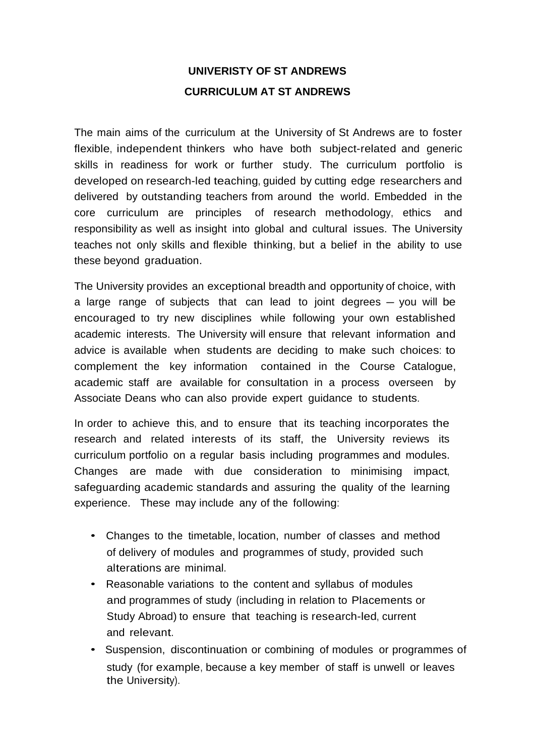## **UNIVERISTY OF ST ANDREWS CURRICULUM AT ST ANDREWS**

The main aims of the curriculum at the University of St Andrews are to foster flexible, independent thinkers who have both subject-related and generic skills in readiness for work or further study. The curriculum portfolio is developed on research-led teaching, guided by cutting edge researchers and delivered by outstanding teachers from around the world. Embedded in the core curriculum are principles of research methodology, ethics and responsibility as well as insight into global and cultural issues. The University teaches not only skills and flexible thinking, but a belief in the ability to use these beyond graduation.

The University provides an exceptional breadth and opportunity of choice, with a large range of subjects that can lead to joint degrees – you will be encouraged to try new disciplines while following your own established academic interests. The University will ensure that relevant information and advice is available when students are deciding to make such choices: to complement the key information contained in the Course Catalogue, academic staff are available for consultation in a process overseen by Associate Deans who can also provide expert guidance to students.

In order to achieve this, and to ensure that its teaching incorporates the research and related interests of its staff, the University reviews its curriculum portfolio on a regular basis including programmes and modules. Changes are made with due consideration to minimising impact, safeguarding academic standards and assuring the quality of the learning experience. These may include any of the following:

- Changes to the timetable, location, number of classes and method of delivery of modules and programmes of study, provided such alterations are minimal.
- Reasonable variations to the content and syllabus of modules and programmes of study (including in relation to Placements or Study Abroad) to ensure that teaching is research-led, current and relevant.
- Suspension, discontinuation or combining of modules or programmes of study (for example, because a key member of staff is unwell or leaves the University).